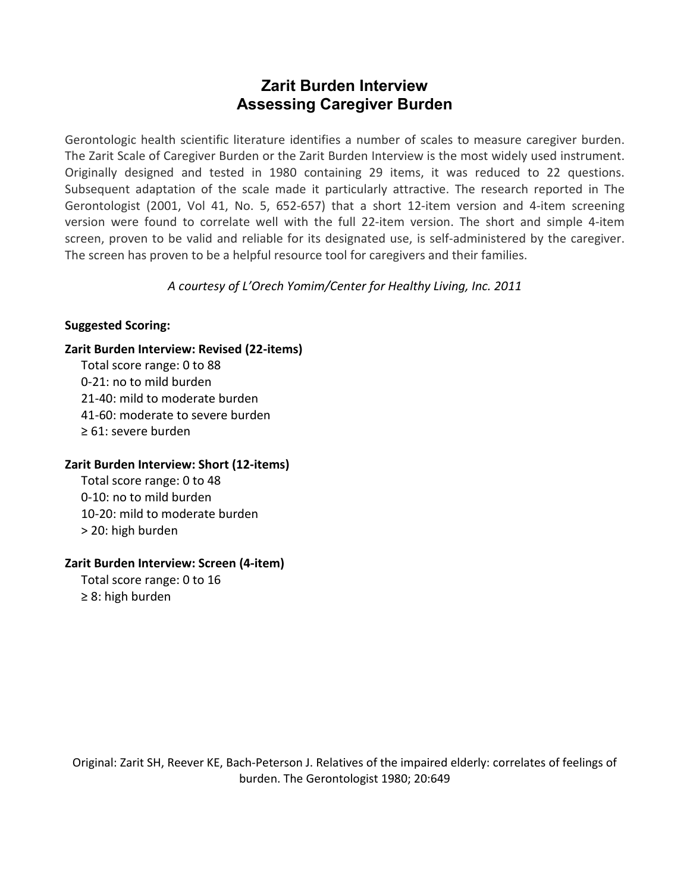# **Zarit Burden Interview Assessing Caregiver Burden**

Gerontologic health scientific literature identifies a number of scales to measure caregiver burden. The Zarit Scale of Caregiver Burden or the Zarit Burden Interview is the most widely used instrument. Originally designed and tested in 1980 containing 29 items, it was reduced to 22 questions. Subsequent adaptation of the scale made it particularly attractive. The research reported in The Gerontologist (2001, Vol 41, No. 5, 652‐657) that a short 12‐item version and 4‐item screening version were found to correlate well with the full 22‐item version. The short and simple 4‐item screen, proven to be valid and reliable for its designated use, is self-administered by the caregiver. The screen has proven to be a helpful resource tool for caregivers and their families.

*A courtesy of L'Orech Yomim/Center for Healthy Living, Inc. 2011*

#### **Suggested Scoring:**

#### **Zarit Burden Interview: Revised (22-items)**

Total score range: 0 to 88 0-21: no to mild burden 21-40: mild to moderate burden 41-60: moderate to severe burden ≥ 61: severe burden

#### **Zarit Burden Interview: Short (12-items)**

Total score range: 0 to 48 0-10: no to mild burden 10-20: mild to moderate burden > 20: high burden

## **Zarit Burden Interview: Screen (4-item)**

Total score range: 0 to 16 ≥ 8: high burden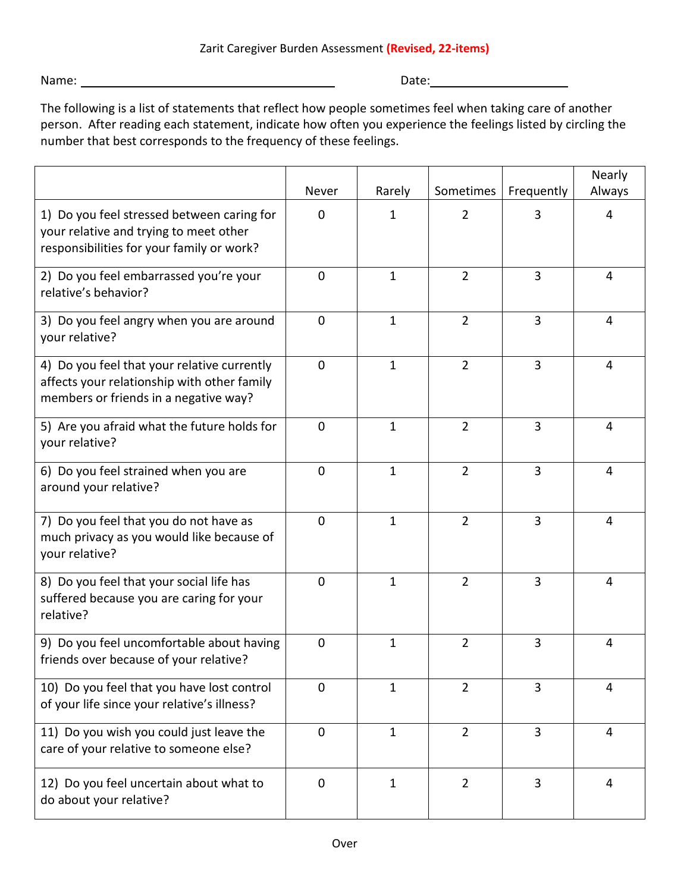Name: Date:

The following is a list of statements that reflect how people sometimes feel when taking care of another person. After reading each statement, indicate how often you experience the feelings listed by circling the number that best corresponds to the frequency of these feelings.

|                                                                                                                                     |             |              |                |                | Nearly |
|-------------------------------------------------------------------------------------------------------------------------------------|-------------|--------------|----------------|----------------|--------|
|                                                                                                                                     | Never       | Rarely       | Sometimes      | Frequently     | Always |
| 1) Do you feel stressed between caring for<br>your relative and trying to meet other<br>responsibilities for your family or work?   | $\Omega$    | 1            | 2              | 3              | 4      |
| 2) Do you feel embarrassed you're your<br>relative's behavior?                                                                      | $\mathbf 0$ | $\mathbf{1}$ | $\overline{2}$ | 3              | 4      |
| 3) Do you feel angry when you are around<br>your relative?                                                                          | $\Omega$    | $\mathbf{1}$ | $\overline{2}$ | $\overline{3}$ | 4      |
| 4) Do you feel that your relative currently<br>affects your relationship with other family<br>members or friends in a negative way? | $\Omega$    | $\mathbf{1}$ | $\overline{2}$ | 3              | 4      |
| 5) Are you afraid what the future holds for<br>your relative?                                                                       | $\mathbf 0$ | $\mathbf{1}$ | $\overline{2}$ | 3              | 4      |
| 6) Do you feel strained when you are<br>around your relative?                                                                       | $\Omega$    | $\mathbf{1}$ | $\overline{2}$ | $\overline{3}$ | 4      |
| 7) Do you feel that you do not have as<br>much privacy as you would like because of<br>your relative?                               | $\mathbf 0$ | $\mathbf{1}$ | $\overline{2}$ | 3              | 4      |
| 8) Do you feel that your social life has<br>suffered because you are caring for your<br>relative?                                   | $\mathbf 0$ | $\mathbf{1}$ | $\overline{2}$ | 3              | 4      |
| 9) Do you feel uncomfortable about having<br>friends over because of your relative?                                                 | $\Omega$    | $\mathbf{1}$ | $\overline{2}$ | 3              | 4      |
| 10) Do you feel that you have lost control<br>of your life since your relative's illness?                                           | 0           | $\mathbf{1}$ | $\overline{2}$ | 3              | 4      |
| 11) Do you wish you could just leave the<br>care of your relative to someone else?                                                  | $\mathbf 0$ | $\mathbf{1}$ | $\overline{2}$ | 3              | 4      |
| 12) Do you feel uncertain about what to<br>do about your relative?                                                                  | 0           | $\mathbf{1}$ | $\overline{2}$ | 3              | 4      |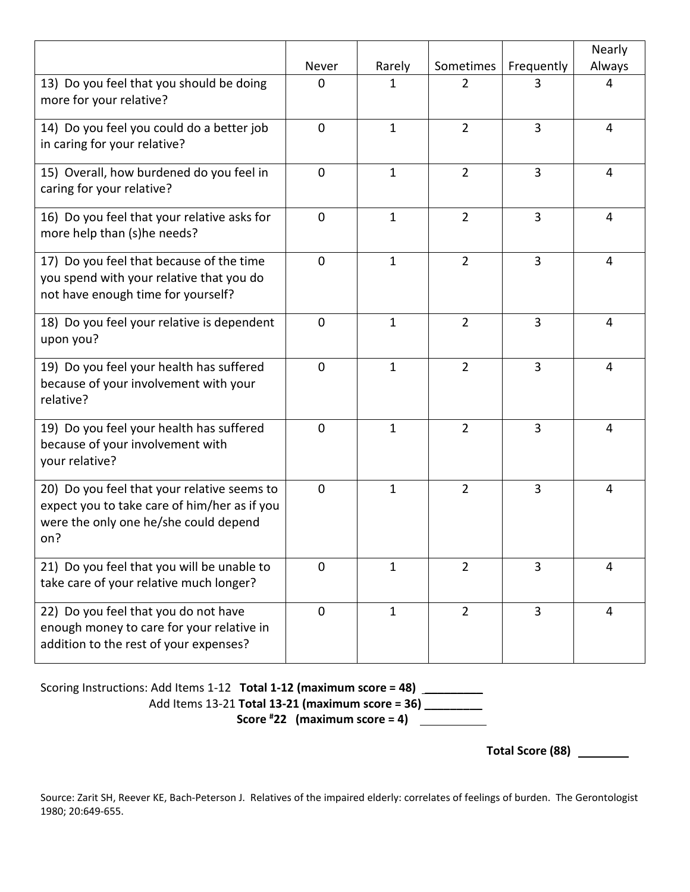|                                                                                                                                             |                |              |                |                | Nearly         |
|---------------------------------------------------------------------------------------------------------------------------------------------|----------------|--------------|----------------|----------------|----------------|
|                                                                                                                                             | Never          | Rarely       | Sometimes      | Frequently     | Always         |
| 13) Do you feel that you should be doing<br>more for your relative?                                                                         | $\mathbf 0$    | 1            | $\overline{2}$ | 3              | $\overline{4}$ |
| 14) Do you feel you could do a better job<br>in caring for your relative?                                                                   | $\mathbf 0$    | $\mathbf{1}$ | $\overline{2}$ | $\overline{3}$ | 4              |
| 15) Overall, how burdened do you feel in<br>caring for your relative?                                                                       | $\mathbf 0$    | $\mathbf{1}$ | $\overline{2}$ | $\overline{3}$ | $\overline{4}$ |
| 16) Do you feel that your relative asks for<br>more help than (s)he needs?                                                                  | $\mathbf 0$    | $\mathbf{1}$ | $\overline{2}$ | 3              | 4              |
| 17) Do you feel that because of the time<br>you spend with your relative that you do<br>not have enough time for yourself?                  | $\Omega$       | $\mathbf{1}$ | $\overline{2}$ | 3              | 4              |
| 18) Do you feel your relative is dependent<br>upon you?                                                                                     | $\mathbf 0$    | $\mathbf{1}$ | $\overline{2}$ | 3              | 4              |
| 19) Do you feel your health has suffered<br>because of your involvement with your<br>relative?                                              | $\mathbf 0$    | $\mathbf{1}$ | $\overline{2}$ | 3              | 4              |
| 19) Do you feel your health has suffered<br>because of your involvement with<br>your relative?                                              | $\mathbf 0$    | $\mathbf{1}$ | $\overline{2}$ | $\overline{3}$ | $\overline{4}$ |
| 20) Do you feel that your relative seems to<br>expect you to take care of him/her as if you<br>were the only one he/she could depend<br>on? | $\Omega$       | $\mathbf{1}$ | $\overline{2}$ | 3              | 4              |
| 21) Do you feel that you will be unable to<br>take care of your relative much longer?                                                       | $\overline{0}$ | $\mathbf{1}$ | $\overline{2}$ | $\overline{3}$ | $\overline{4}$ |
| 22) Do you feel that you do not have<br>enough money to care for your relative in<br>addition to the rest of your expenses?                 | $\mathbf 0$    | $\mathbf{1}$ | $\overline{2}$ | $\overline{3}$ | $\overline{4}$ |

Scoring Instructions: Add Items 1-12 **Total 1-12 (maximum score = 48) \_\_\_\_\_\_\_\_\_** Add Items 13-21 **Total 13-21 (maximum score = 36) \_\_\_\_\_\_\_\_\_ Score # 22 (maximum score = 4)** 

**Total Score (88)**

Source: Zarit SH, Reever KE, Bach-Peterson J. Relatives of the impaired elderly: correlates of feelings of burden. The Gerontologist 1980; 20:649-655.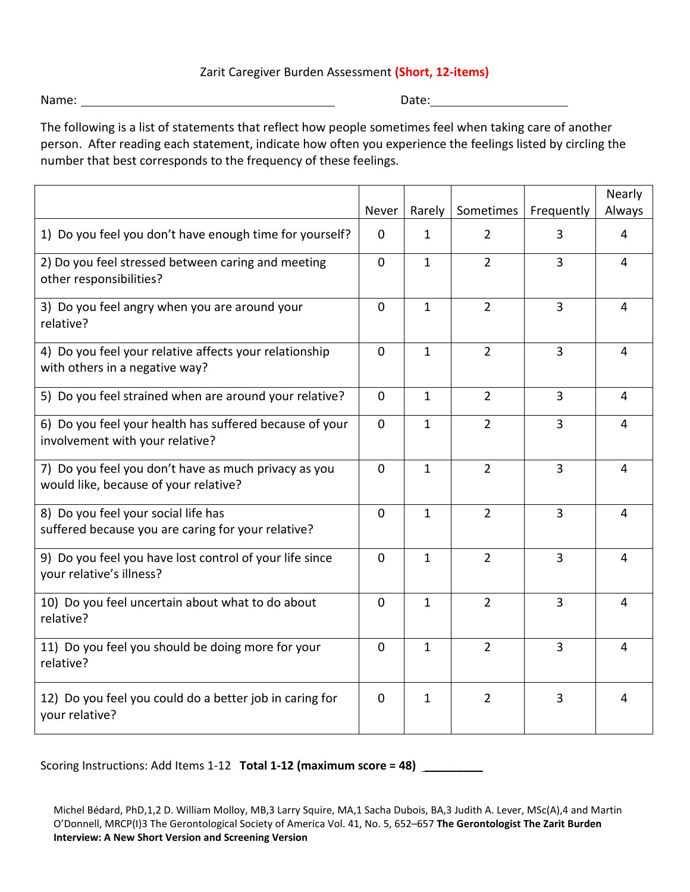## Zarit Caregiver Burden Assessment **(Short, 12-items)**

Name: Date:

The following is a list of statements that reflect how people sometimes feel when taking care of another person. After reading each statement, indicate how often you experience the feelings listed by circling the number that best corresponds to the frequency of these feelings.

|                                                                                               | Never       | Rarely       | Sometimes      | Frequently     | Nearly<br>Always |
|-----------------------------------------------------------------------------------------------|-------------|--------------|----------------|----------------|------------------|
| 1) Do you feel you don't have enough time for yourself?                                       | $\Omega$    | 1            | $\overline{2}$ | 3              | 4                |
| 2) Do you feel stressed between caring and meeting<br>other responsibilities?                 | $\Omega$    | $\mathbf{1}$ | $\overline{2}$ | 3              | 4                |
| 3) Do you feel angry when you are around your<br>relative?                                    | $\Omega$    | $\mathbf{1}$ | $\overline{2}$ | $\overline{3}$ | $\overline{4}$   |
| 4) Do you feel your relative affects your relationship<br>with others in a negative way?      | $\Omega$    | $\mathbf{1}$ | $\overline{2}$ | $\overline{3}$ | $\overline{4}$   |
| 5) Do you feel strained when are around your relative?                                        | $\Omega$    | $\mathbf{1}$ | $\overline{2}$ | 3              | $\overline{4}$   |
| 6) Do you feel your health has suffered because of your<br>involvement with your relative?    | $\Omega$    | $\mathbf{1}$ | $\overline{2}$ | 3              | $\overline{4}$   |
| 7) Do you feel you don't have as much privacy as you<br>would like, because of your relative? | $\Omega$    | $\mathbf{1}$ | $\overline{2}$ | 3              | $\overline{4}$   |
| 8) Do you feel your social life has<br>suffered because you are caring for your relative?     | $\Omega$    | $\mathbf{1}$ | $\overline{2}$ | $\overline{3}$ | $\overline{4}$   |
| 9) Do you feel you have lost control of your life since<br>your relative's illness?           | $\Omega$    | $\mathbf{1}$ | $\overline{2}$ | $\overline{3}$ | 4                |
| 10) Do you feel uncertain about what to do about<br>relative?                                 | $\Omega$    | $\mathbf{1}$ | $\overline{2}$ | 3              | 4                |
| 11) Do you feel you should be doing more for your<br>relative?                                | $\Omega$    | $\mathbf{1}$ | $\overline{2}$ | $\overline{3}$ | 4                |
| 12) Do you feel you could do a better job in caring for<br>your relative?                     | $\mathbf 0$ | $\mathbf 1$  | $\overline{2}$ | 3              | 4                |

Scoring Instructions: Add Items 1-12 **Total 1-12 (maximum score = 48) \_\_\_\_\_\_\_\_\_**

Michel Bédard, PhD,1,2 D. William Molloy, MB,3 Larry Squire, MA,1 Sacha Dubois, BA,3 Judith A. Lever, MSc(A),4 and Martin O'Donnell, MRCP(I)3 The Gerontological Society of America Vol. 41, No. 5, 652–657 **The Gerontologist The Zarit Burden Interview: A New Short Version and Screening Version**